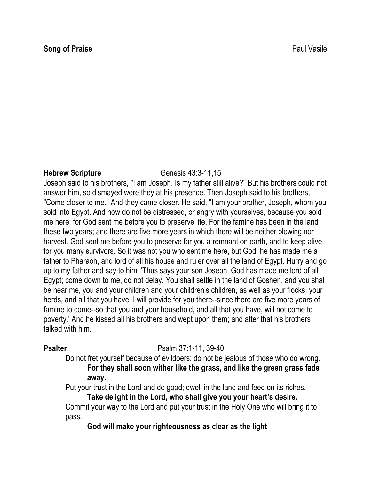## **Hebrew Scripture** Genesis 43:3-11,15

Joseph said to his brothers, "I am Joseph. Is my father still alive?" But his brothers could not answer him, so dismayed were they at his presence. Then Joseph said to his brothers, "Come closer to me." And they came closer. He said, "I am your brother, Joseph, whom you sold into Egypt. And now do not be distressed, or angry with yourselves, because you sold me here; for God sent me before you to preserve life. For the famine has been in the land these two years; and there are five more years in which there will be neither plowing nor harvest. God sent me before you to preserve for you a remnant on earth, and to keep alive for you many survivors. So it was not you who sent me here, but God; he has made me a father to Pharaoh, and lord of all his house and ruler over all the land of Egypt. Hurry and go up to my father and say to him, 'Thus says your son Joseph, God has made me lord of all Egypt; come down to me, do not delay. You shall settle in the land of Goshen, and you shall be near me, you and your children and your children's children, as well as your flocks, your herds, and all that you have. I will provide for you there--since there are five more years of famine to come--so that you and your household, and all that you have, will not come to poverty.' And he kissed all his brothers and wept upon them; and after that his brothers talked with him.

# **Psalter** Psalm 37:1-11, 39-40

Do not fret yourself because of evildoers; do not be jealous of those who do wrong. **For they shall soon wither like the grass, and like the green grass fade away.** 

Put your trust in the Lord and do good; dwell in the land and feed on its riches.

# **Take delight in the Lord, who shall give you your heart's desire.**

Commit your way to the Lord and put your trust in the Holy One who will bring it to pass.

**God will make your righteousness as clear as the light**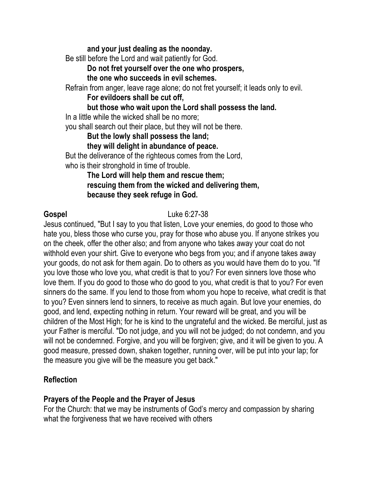## **and your just dealing as the noonday.**

Be still before the Lord and wait patiently for God.

**Do not fret yourself over the one who prospers,** 

### **the one who succeeds in evil schemes.**

Refrain from anger, leave rage alone; do not fret yourself; it leads only to evil. **For evildoers shall be cut off,** 

## **but those who wait upon the Lord shall possess the land.**

In a little while the wicked shall be no more;

you shall search out their place, but they will not be there.

### **But the lowly shall possess the land;**

### **they will delight in abundance of peace.**

But the deliverance of the righteous comes from the Lord, who is their stronghold in time of trouble.

## **The Lord will help them and rescue them; rescuing them from the wicked and delivering them, because they seek refuge in God.**

## **Gospel** Luke 6:27-38

Jesus continued, "But I say to you that listen, Love your enemies, do good to those who hate you, bless those who curse you, pray for those who abuse you. If anyone strikes you on the cheek, offer the other also; and from anyone who takes away your coat do not withhold even your shirt. Give to everyone who begs from you; and if anyone takes away your goods, do not ask for them again. Do to others as you would have them do to you. "If you love those who love you, what credit is that to you? For even sinners love those who love them. If you do good to those who do good to you, what credit is that to you? For even sinners do the same. If you lend to those from whom you hope to receive, what credit is that to you? Even sinners lend to sinners, to receive as much again. But love your enemies, do good, and lend, expecting nothing in return. Your reward will be great, and you will be children of the Most High; for he is kind to the ungrateful and the wicked. Be merciful, just as your Father is merciful. "Do not judge, and you will not be judged; do not condemn, and you will not be condemned. Forgive, and you will be forgiven; give, and it will be given to you. A good measure, pressed down, shaken together, running over, will be put into your lap; for the measure you give will be the measure you get back."

## **Reflection**

## **Prayers of the People and the Prayer of Jesus**

For the Church: that we may be instruments of God's mercy and compassion by sharing what the forgiveness that we have received with others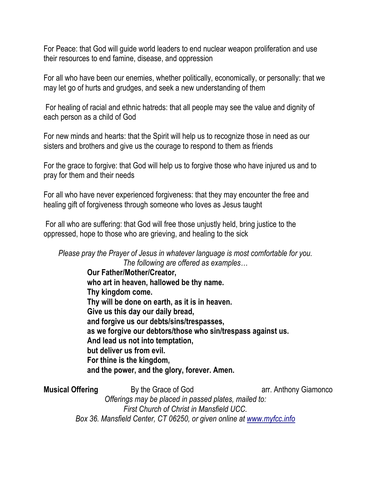For Peace: that God will guide world leaders to end nuclear weapon proliferation and use their resources to end famine, disease, and oppression

For all who have been our enemies, whether politically, economically, or personally: that we may let go of hurts and grudges, and seek a new understanding of them

For healing of racial and ethnic hatreds: that all people may see the value and dignity of each person as a child of God

For new minds and hearts: that the Spirit will help us to recognize those in need as our sisters and brothers and give us the courage to respond to them as friends

For the grace to forgive: that God will help us to forgive those who have injured us and to pray for them and their needs

For all who have never experienced forgiveness: that they may encounter the free and healing gift of forgiveness through someone who loves as Jesus taught

For all who are suffering: that God will free those unjustly held, bring justice to the oppressed, hope to those who are grieving, and healing to the sick

*Please pray the Prayer of Jesus in whatever language is most comfortable for you. The following are offered as examples…*

> **Our Father/Mother/Creator, who art in heaven, hallowed be thy name. Thy kingdom come. Thy will be done on earth, as it is in heaven. Give us this day our daily bread, and forgive us our debts/sins/trespasses, as we forgive our debtors/those who sin/trespass against us. And lead us not into temptation, but deliver us from evil. For thine is the kingdom, and the power, and the glory, forever. Amen.**

**Musical Offering** By the Grace of God **arr.** Anthony Giamonco *Offerings may be placed in passed plates, mailed to: First Church of Christ in Mansfield UCC. Box 36. Mansfield Center, CT 06250, or given online at www.myfcc.info*